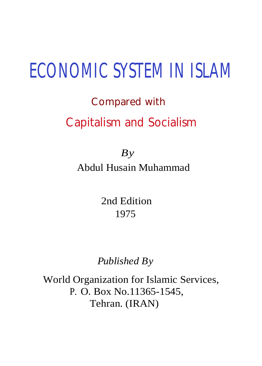# **ECONOMIC SYSTEM IN ISLAM**

# Compared with

# Capitalism and Socialism

*By* Abdul Husain Muhammad

> 2nd Edition 1975

*Published By*

World Organization for Islamic Services, P. O. Box No.11365-1545, Tehran. (IRAN)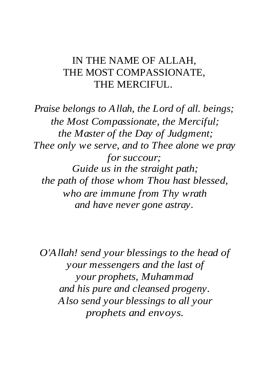#### IN THE NAME OF ALLAH, THE MOST COMPASSIONATE, THE MERCIFUL.

*Praise belongs to Allah, the Lord of all. beings; the Most Compassionate, the Merciful; the Master of the Day of Judgment; Thee only we serve, and to Thee alone we pray for succour; Guide us in the straight path; the path of those whom Thou hast blessed, who are immune from Thy wrath and have never gone astray.*

*O'Allah! send your blessings to the head of your messengers and the last of your prophets, Muhammad and his pure and cleansed progeny. Also send your blessings to all your prophets and envoys.*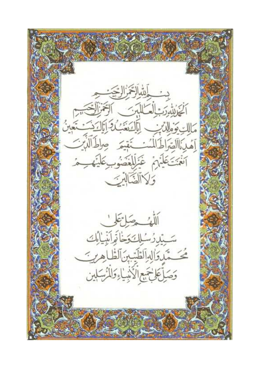دس الله التجزال يجت<br>الحَوْالِهُ رَسَالَكَللِّهِ بَنَ الرَّحْمَالِكَتِينَ<br>مَالِكِ وَوَالِدُّبِبِ الْمَالِمَةِ بِنَ الرَّحْمَالِكَ الْمَدَيْنَةَ الْمَدَيْنَ<br>إِهْدِ الصَّرَاطَ الْمُسْتَقِيمَ صِرْطَ الَّذِينَ آنَهُنَّكَايَهُمْ غَيْلِلْغَضُوبِكَلَيْهِــِمْ وكالضَّابِينَ اللهُ حِبَاتِعَلِّ سَيِّدِرُسُلِكَ وَخَاتِرَانِيْلِ الَّكَ مُحَسِّدَ الْمِالَطَّيِّبِنَ الظَّاهِرِيَّ وَصَلَّ عَلَيْهَمِ الْأَنْبِيَاءِ وَلَلْأَسْبَلِين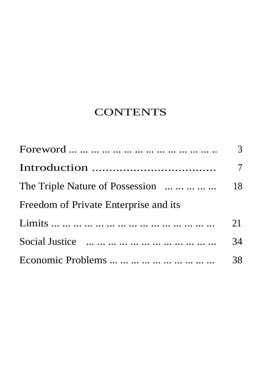# **CONTENTS**

|                                         | $\overline{3}$ |
|-----------------------------------------|----------------|
|                                         | $\overline{7}$ |
| The Triple Nature of Possession      18 |                |
| Freedom of Private Enterprise and its   |                |
|                                         | 21             |
|                                         | 34             |
| Economic Problems          38           |                |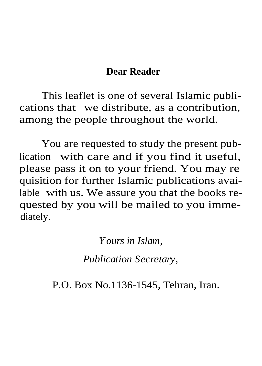#### **Dear Reader**

This leaflet is one of several Islamic publications that we distribute, as a contribution, among the people throughout the world.

You are requested to study the present publication with care and if you find it useful, please pass it on to your friend. You may re quisition for further Islamic publications available with us. We assure you that the books requested by you will be mailed to you immediately.

*Yours in Islam,*

*Publication Secretary,*

P.O. Box No.1136-1545, Tehran, Iran.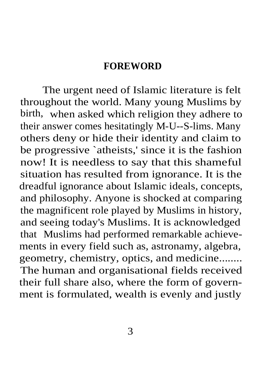#### **FOREWORD**

The urgent need of Islamic literature is felt throughout the world. Many young Muslims by birth, when asked which religion they adhere to their answer comes hesitatingly M-U--S-lims. Many others deny or hide their identity and claim to be progressive `atheists,' since it is the fashion now! It is needless to say that this shameful situation has resulted from ignorance. It is the dreadful ignorance about Islamic ideals, concepts, and philosophy. Anyone is shocked at comparing the magnificent role played by Muslims in history, and seeing today's Muslims. It is acknowledged that Muslims had performed remarkable achievements in every field such as, astronamy, algebra, geometry, chemistry, optics, and medicine........ The human and organisational fields received their full share also, where the form of government is formulated, wealth is evenly and justly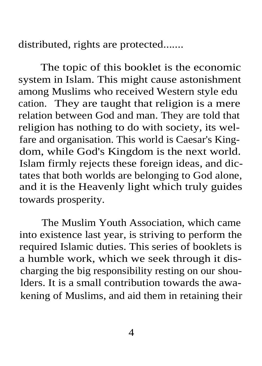distributed, rights are protected.......

The topic of this booklet is the economic system in Islam. This might cause astonishment among Muslims who received Western style edu cation. They are taught that religion is a mere relation between God and man. They are told that religion has nothing to do with society, its welfare and organisation. This world is Caesar's Kingdom, while God's Kingdom is the next world. Islam firmly rejects these foreign ideas, and dictates that both worlds are belonging to God alone, and it is the Heavenly light which truly guides towards prosperity.

The Muslim Youth Association, which came into existence last year, is striving to perform the required Islamic duties. This series of booklets is a humble work, which we seek through it discharging the big responsibility resting on our shoulders. It is a small contribution towards the awakening of Muslims, and aid them in retaining their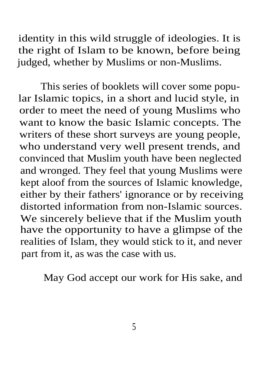identity in this wild struggle of ideologies. It is the right of Islam to be known, before being judged, whether by Muslims or non-Muslims.

This series of booklets will cover some popular Islamic topics, in a short and lucid style, in order to meet the need of young Muslims who want to know the basic Islamic concepts. The writers of these short surveys are young people, who understand very well present trends, and convinced that Muslim youth have been neglected and wronged. They feel that young Muslims were kept aloof from the sources of Islamic knowledge, either by their fathers' ignorance or by receiving distorted information from non-Islamic sources. We sincerely believe that if the Muslim youth have the opportunity to have a glimpse of the realities of Islam, they would stick to it, and never part from it, as was the case with us.

May God accept our work for His sake, and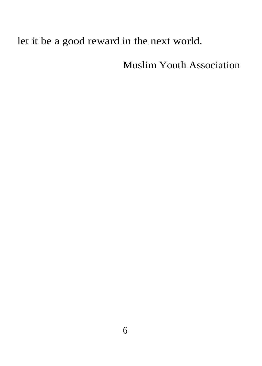### let it be a good reward in the next world.

Muslim Youth Association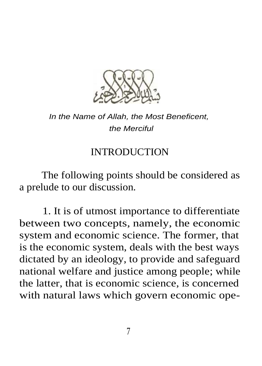

#### In the Name of Allah, the Most Beneficent, the Merciful

#### **INTRODUCTION**

The following points should be considered as a prelude to our discussion.

1. It is of utmost importance to differentiate between two concepts, namely, the economic system and economic science. The former, that is the economic system, deals with the best ways dictated by an ideology, to provide and safeguard national welfare and justice among people; while the latter, that is economic science, is concerned with natural laws which govern economic ope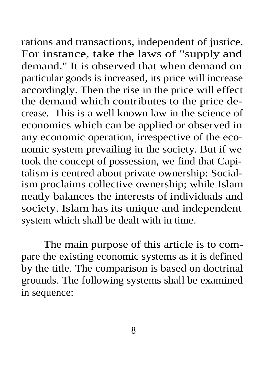rations and transactions, independent of justice. For instance, take the laws of "supply and demand." It is observed that when demand on particular goods is increased, its price will increase accordingly. Then the rise in the price will effect the demand which contributes to the price decrease. This is a well known law in the science of economics which can be applied or observed in any economic operation, irrespective of the economic system prevailing in the society. But if we took the concept of possession, we find that Capitalism is centred about private ownership: Socialism proclaims collective ownership; while Islam neatly balances the interests of individuals and society. Islam has its unique and independent system which shall be dealt with in time.

The main purpose of this article is to compare the existing economic systems as it is defined by the title. The comparison is based on doctrinal grounds. The following systems shall be examined in sequence: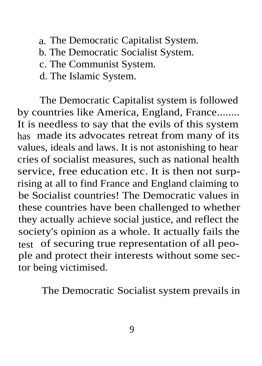- a. The Democratic Capitalist System.
- b. The Democratic Socialist System.
- c. The Communist System.
- d. The Islamic System.

The Democratic Capitalist system is followed by countries like America, England, France........ It is needless to say that the evils of this system has made its advocates retreat from many of its values, ideals and laws. It is not astonishing to hear cries of socialist measures, such as national health service, free education etc. It is then not surprising at all to find France and England claiming to be Socialist countries! The Democratic values in these countries have been challenged to whether they actually achieve social justice, and reflect the society's opinion as a whole. It actually fails the test of securing true representation of all people and protect their interests without some sector being victimised.

The Democratic Socialist system prevails in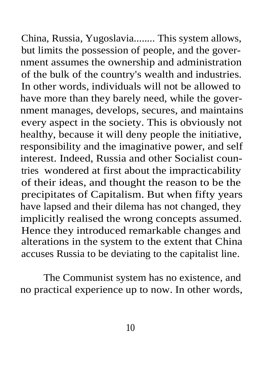China, Russia, Yugoslavia........ This system allows, but limits the possession of people, and the government assumes the ownership and administration of the bulk of the country's wealth and industries. In other words, individuals will not be allowed to have more than they barely need, while the government manages, develops, secures, and maintains every aspect in the society. This is obviously not healthy, because it will deny people the initiative, responsibility and the imaginative power, and self interest. Indeed, Russia and other Socialist countries wondered at first about the impracticability of their ideas, and thought the reason to be the precipitates of Capitalism. But when fifty years have lapsed and their dilema has not changed, they implicitly realised the wrong concepts assumed. Hence they introduced remarkable changes and alterations in the system to the extent that China accuses Russia to be deviating to the capitalist line.

The Communist system has no existence, and no practical experience up to now. In other words,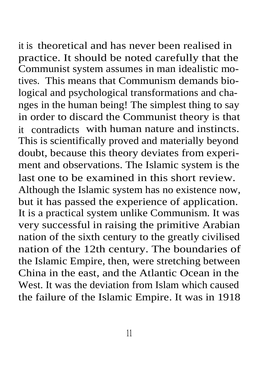it is theoretical and has never been realised in practice. It should be noted carefully that the Communist system assumes in man idealistic motives. This means that Communism demands biological and psychological transformations and changes in the human being! The simplest thing to say in order to discard the Communist theory is that it contradicts with human nature and instincts. This is scientifically proved and materially beyond doubt, because this theory deviates from experiment and observations. The Islamic system is the last one to be examined in this short review. Although the Islamic system has no existence now, but it has passed the experience of application. It is a practical system unlike Communism. It was very successful in raising the primitive Arabian nation of the sixth century to the greatly civilised nation of the 12th century. The boundaries of the Islamic Empire, then, were stretching between China in the east, and the Atlantic Ocean in the West. It was the deviation from Islam which caused the failure of the Islamic Empire. It was in 1918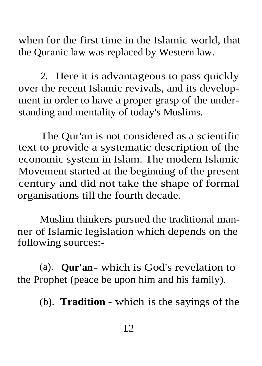when for the first time in the Islamic world, that the Quranic law was replaced by Western law.

2. Here it is advantageous to pass quickly over the recent Islamic revivals, and its development in order to have a proper grasp of the understanding and mentality of today's Muslims.

The Qur'an is not considered as a scientific text to provide a systematic description of the economic system in Islam. The modern Islamic Movement started at the beginning of the present century and did not take the shape of formal organisations till the fourth decade.

Muslim thinkers pursued the traditional manner of Islamic legislation which depends on the following sources:-

(a). **Qur'an**- which is God's revelation to the Prophet (peace be upon him and his family).

(b). **Tradition** - which is the sayings of the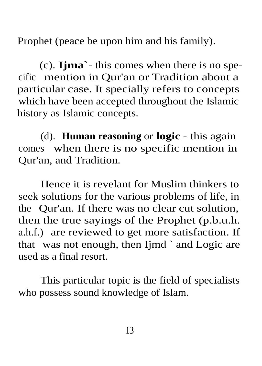Prophet (peace be upon him and his family).

(c). **Ijma`** - this comes when there is no specific mention in Qur'an or Tradition about a particular case. It specially refers to concepts which have been accepted throughout the Islamic history as Islamic concepts.

(d). **Human reasoning** or **logic** - this again comes when there is no specific mention in Qur'an, and Tradition.

Hence it is revelant for Muslim thinkers to seek solutions for the various problems of life, in the Qur'an. If there was no clear cut solution, then the true sayings of the Prophet (p.b.u.h. a.h.f.) are reviewed to get more satisfaction. If that was not enough, then Ijmd ` and Logic are used as a final resort.

This particular topic is the field of specialists who possess sound knowledge of Islam.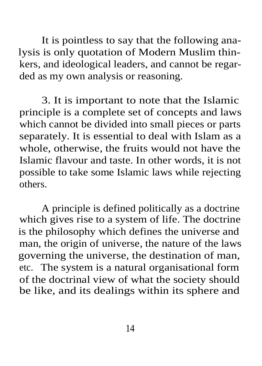It is pointless to say that the following analysis is only quotation of Modern Muslim thinkers, and ideological leaders, and cannot be regarded as my own analysis or reasoning.

3. It is important to note that the Islamic principle is a complete set of concepts and laws which cannot be divided into small pieces or parts separately. It is essential to deal with Islam as a whole, otherwise, the fruits would not have the Islamic flavour and taste. In other words, it is not possible to take some Islamic laws while rejecting others.

A principle is defined politically as a doctrine which gives rise to a system of life. The doctrine is the philosophy which defines the universe and man, the origin of universe, the nature of the laws governing the universe, the destination of man, etc. The system is a natural organisational form of the doctrinal view of what the society should be like, and its dealings within its sphere and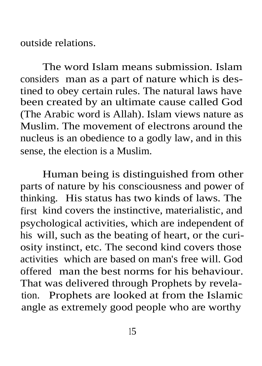outside relations.

The word Islam means submission. Islam considers man as a part of nature which is destined to obey certain rules. The natural laws have been created by an ultimate cause called God (The Arabic word is Allah). Islam views nature as Muslim. The movement of electrons around the nucleus is an obedience to a godly law, and in this sense, the election is a Muslim.

Human being is distinguished from other parts of nature by his consciousness and power of thinking. His status has two kinds of laws. The first kind covers the instinctive, materialistic, and psychological activities, which are independent of his will, such as the beating of heart, or the curiosity instinct, etc. The second kind covers those activities which are based on man's free will. God offered man the best norms for his behaviour. That was delivered through Prophets by revelation. Prophets are looked at from the Islamic angle as extremely good people who are worthy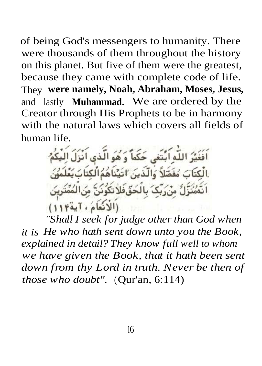of being God's messengers to humanity. There were thousands of them throughout the history on this planet. But five of them were the greatest, because they came with complete code of life. They **were namely, Noah, Abraham, Moses, Jesus,** and lastly **Muhammad.** We are ordered by the Creator through His Prophets to be in harmony with the natural laws which covers all fields of human life.

أَفَغَيْرُ اللَّهِ ابْتَغَى حَكَماً وَ هُوَ الَّذِي اَنْزَلَ الِيْكُمُ بِالْكِتَابَ مُفَصَّلاً وَالْذِينَ 'اتَيْنَاهُمُ الْكِتَابَ يَعْلَمُونَ اَنَّهُمُنَزَّلِّ مِنْ رَبِّکَ بِالْحَقْفَلاَتِکُونَنَّ مِنَ الْمُمَّتَرِينَ (الانْعَامُ، آية ١١٤)

*"Shall I seek for judge other than God when it is He who hath sent down unto you the Book, explained in detail? They know full well to whom we have given the Book, that it hath been sent down from thy Lord in truth. Never be then of those who doubt".* (Qur'an, 6:114)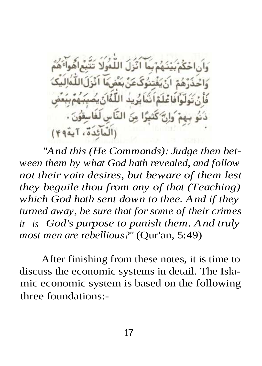مِنَ النَّاسِ لَفَاسِقُونَ (الْمَائِدَةُ، آية ٢٩)

*"And this (He Commands): Judge then between them by what God hath revealed, and follow not their vain desires, but beware of them lest they beguile thou from any of that (Teaching) which God hath sent down to thee. And if they turned away, be sure that for some of their crimes it is God's purpose to punish them. And truly most men are rebellious?"* (Qur'an, 5:49)

After finishing from these notes, it is time to discuss the economic systems in detail. The Islamic economic system is based on the following three foundations:-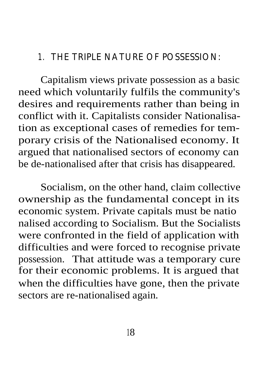#### 1. THE TRIPLE NATURE OF POSSESSION:

Capitalism views private possession as a basic need which voluntarily fulfils the community's desires and requirements rather than being in conflict with it. Capitalists consider Nationalisation as exceptional cases of remedies for temporary crisis of the Nationalised economy. It argued that nationalised sectors of economy can be de-nationalised after that crisis has disappeared.

Socialism, on the other hand, claim collective ownership as the fundamental concept in its economic system. Private capitals must be natio nalised according to Socialism. But the Socialists were confronted in the field of application with difficulties and were forced to recognise private possession. That attitude was a temporary cure for their economic problems. It is argued that when the difficulties have gone, then the private sectors are re-nationalised again.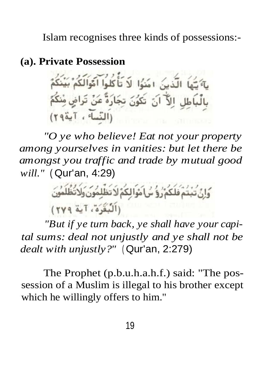Islam recognises three kinds of possessions:-

#### **(a). Private Possession**

يَّةَ يَّهَا الَّذِينَ امَنُوا لَا تَأْكُلُوا أَمَّوَالَكُمْ بَيْنَكُمْ بِالْبَاطِلِ إِلاَّ أَنَ تَكُونَ تِجَارَةً عَنْ تَراضٍ مِنْكُمَّ (النّساء ، آية ٢٩)

*"O ye who believe! Eat not your property among yourselves in vanities: but let there be amongst you traffic and trade by mutual good will."* ( Qur'an, 4:29)

وَإِنَّ تَبْتُمْ فَلَكُمْ رُوُ سُ آمْوَا لِكُمْ لَا تَظْلِمُونَ وَلَا تُظُلِّمُونَ (اَلْبُغَّرَهُ، آية ٢٧٩)

*"But if ye turn back, ye shall have your capital sums: deal not unjustly and ye shall not be dealt with unjustly?"* ( Qur'an, 2:279)

The Prophet (p.b.u.h.a.h.f.) said: "The possession of a Muslim is illegal to his brother except which he willingly offers to him."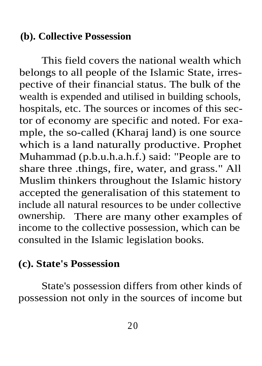#### **(b). Collective Possession**

This field covers the national wealth which belongs to all people of the Islamic State, irrespective of their financial status. The bulk of the wealth is expended and utilised in building schools, hospitals, etc. The sources or incomes of this sector of economy are specific and noted. For example, the so-called (Kharaj land) is one source which is a land naturally productive. Prophet Muhammad (p.b.u.h.a.h.f.) said: "People are to share three .things, fire, water, and grass." All Muslim thinkers throughout the Islamic history accepted the generalisation of this statement to include all natural resources to be under collective ownership. There are many other examples of income to the collective possession, which can be consulted in the Islamic legislation books.

# **(c). State's Possession**

State's possession differs from other kinds of possession not only in the sources of income but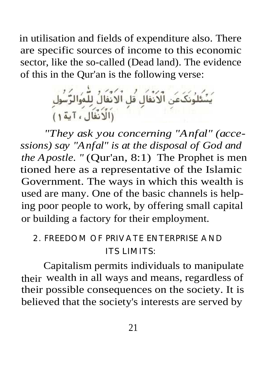in utilisation and fields of expenditure also. There are specific sources of income to this economic sector, like the so-called (Dead land). The evidence of this in the Qur'an is the following verse:

.<br>نَظَنُونَکَ عَنِ الۡاَنۡفَالِ قُلِ الۡاَنۡفَالُ لِلۡمُوَالزَّسُولِ<br>(اَلۡاَنۡفَالَ ، آیة ۱)

*"They ask you concerning "Anfal" (accessions) say "Anfal" is at the disposal of God and the Apostle.* " (Qur'an, 8:1) The Prophet is men tioned here as a representative of the Islamic Government. The ways in which this wealth is used are many. One of the basic channels is helping poor people to work, by offering small capital or building a factory for their employment.

# 2. FREEDOM OF PRIVATE ENTERPRISE AND ITS LIMITS:

Capitalism permits individuals to manipulate their wealth in all ways and means, regardless of their possible consequences on the society. It is believed that the society's interests are served by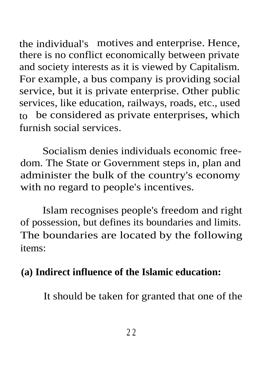the individual's motives and enterprise. Hence, there is no conflict economically between private and society interests as it is viewed by Capitalism. For example, a bus company is providing social service, but it is private enterprise. Other public services, like education, railways, roads, etc., used to be considered as private enterprises, which furnish social services.

Socialism denies individuals economic freedom. The State or Government steps in, plan and administer the bulk of the country's economy with no regard to people's incentives.

Islam recognises people's freedom and right of possession, but defines its boundaries and limits. The boundaries are located by the following items:

# **(a) Indirect influence of the Islamic education:**

It should be taken for granted that one of the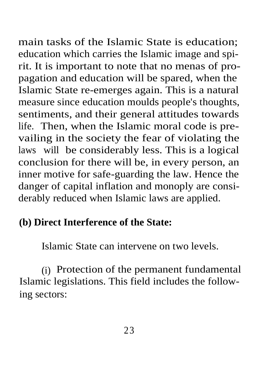main tasks of the Islamic State is education; education which carries the Islamic image and spirit. It is important to note that no menas of propagation and education will be spared, when the Islamic State re-emerges again. This is a natural measure since education moulds people's thoughts, sentiments, and their general attitudes towards life. Then, when the Islamic moral code is prevailing in the society the fear of violating the laws will be considerably less. This is a logical conclusion for there will be, in every person, an inner motive for safe-guarding the law. Hence the danger of capital inflation and monoply are considerably reduced when Islamic laws are applied.

# **(b) Direct Interference of the State:**

Islamic State can intervene on two levels.

(i) Protection of the permanent fundamental Islamic legislations. This field includes the following sectors: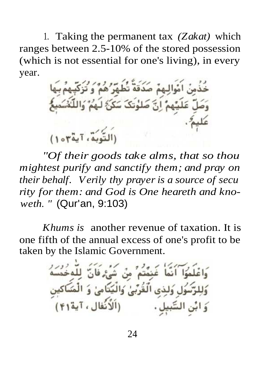1. Taking the permanent tax *(Zakat)* which ranges between 2.5-10% of the stored possession (which is not essential for one's living), in every year.

اَمُوالِـهِمۡ صَدَقَةٌ تُطۡهَرۡ ُهُمۡ ۚ وَ تُزَكِّيهِمۡ بِيَهَا م انّ صَه (التَّدِيَّةِ، آيةٌ مِنْ)

*"Of their goods take alms, that so thou mightest purify and sanctify them; and pray on their behalf. Verily thy prayer is a source of secu rity for them: and God is One heareth and knoweth. "* (Qur'an, 9:103)

*Khums is* another revenue of taxation. It is one fifth of the annual excess of one's profit to be taken by the Islamic Government.

ر<br>شُرُّهُ فَانَّ لِلْمُخُمُّ وَاعْلَمُوَا ۖ أَنَّمَا ۖ غَنمُتُمْ ۚ مِنْ وَلِلرَّسُولِ وَلَذِي الْقُرْبَىٰ وَالْيَتَامِىٰ وَ (اَلْأَنُفالِ ، آية ۴۱) السَّبيل .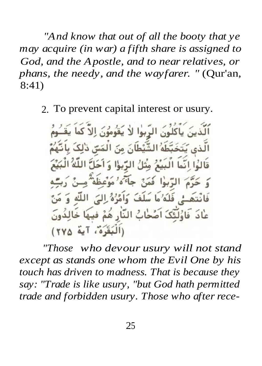*"And know that out of all the booty that ye may acquire (in war) a fifth share is assigned to God, and the Apostle, and to near relatives, or phans, the needy, and the wayfarer. "* (Qur'an, 8:41)

2. To prevent capital interest or usury.

نُذينَ يَأْكُلُونَ الرِّبوٰا لاٰ يَقُومُونَ اِلاَّ كَمَا يَقَنُومُ يَتَخَبَّطَهُ الشَّيْطَانَ مِنَ الْمَسّ ذٰلِكَ بِأَنَّهُ قَالُوا إِنَّمَا الْبَيْعُ مِثْلُ الرِّبوْا وَ أَحَلَّ اللَّهُ الْبَيْعَ الرَّبُوٰا فَمَنْ جَآءَهُ 'مَوْعِظَهْ مِسْ َرَبِّـهِ لِّي فَلَهُ ٰ مَا سَلَفَ وَاَمُّرْهُ ٰ اِلِّيَ اللَّهِ ۚ وَ مَنَّ عَادَ ۖ فَاوُلَئِكَ اَصُحَابُ النَّارِ هُمْ فِيهَا خَالِدُونَ (اَلْبَقَرَهُ، آية ٢٧٥)

*"Those who devour usury will not stand except as stands one whom the Evil One by his touch has driven to madness. That is because they say: "Trade is like usury, "but God hath permitted trade and forbidden usury. Those who after rece-*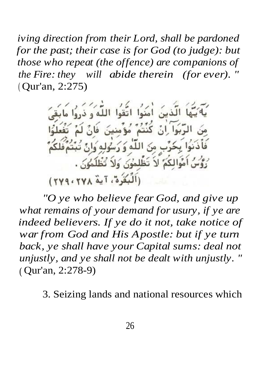*iving direction from their Lord, shall be pardoned for the past; their case is for God (to judge): but those who repeat (the offence) are companions of the Fire: they will abide therein (for ever). "* ( Qur'an, 2:275)

اللّهُ و ذر كنتم مؤمنت. فَأَذَنُوا بِحُرِّبٍ مِنَ اللَّهِ وَ رَسُولِهِ وَارْ أَمْوَالِكُمُ لاَ تَظْلَمُونَ وَلاَ تُظْلَمُونَ . (اَلۡبُعۡرُهُ، آیةٌ ۲۷۸، ۲۷۹)

*"O ye who believe fear God, and give up what remains of your demand for usury, if ye are indeed believers. If ye do it not, take notice of war from God and His Apostle: but if ye turn back, ye shall have your Capital sums: deal not unjustly, and ye shall not be dealt with unjustly. "* ( Qur'an, 2:278-9)

3. Seizing lands and national resources which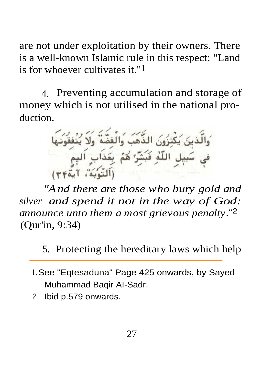are not under exploitation by their owners. There is a well-known Islamic rule in this respect: "Land is for whoever cultivates it."1

4. Preventing accumulation and storage of money which is not utilised in the national production.

زُونَ الذَّهْبَ وَالْغَذّ ل اللَّهِ فَبَشَّرٌ هُمُ بِعَذَاب التوبة، آية٢٣)

*"And there are those who bury gold and silver and spend it not in the way of God: announce unto them a most grievous penalty.*"2 (Qur'in, 9:34)

5. Protecting the hereditary laws which help

- I.See "Eqtesaduna" Page 425 onwards, by Sayed Muhammad Baqir AI-Sadr.
- 2. Ibid p.579 onwards.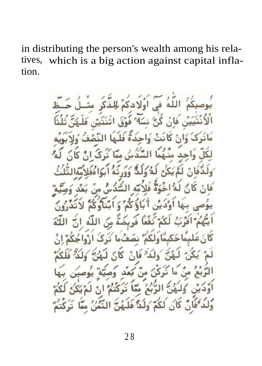in distributing the person's wealth among his relatives, which is a big action against capital inflation.

 $5.41$  $16$  $\frac{2}{4}$  $\mathcal{L}$  $S<sub>3</sub>$ ن س ممّا منهما  $25.28$  $231$  $\mathcal{L}^2$  $\leq$ ίĩ 刘  $\mathsf{K}$  $\cdot$  . Le ُ; منْ كَعْد ۵Ä  $\mathfrak{t}_{\infty}$ ప ÏŚ مما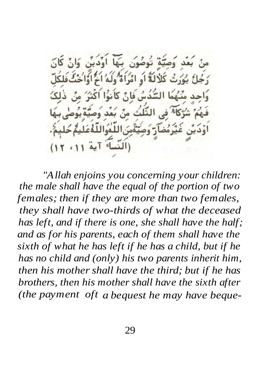بُعْدِ ۚ وَصَيِّمٌ ۖ تُوصُونَ ۖ بِيَهَا ا و د د رَجُلُ يُوَرَثُ كَلَالَةً أَوِ امْرَأَةً وَلَهُ اخْ أَوَّاخُتٌ السُّدُسُ فَانۡ كَأَ 145 الثَّلُث (النساء آية

*"Allah enjoins you concerning your children: the male shall have the equal of the portion of two females; then if they are more than two females, they shall have two-thirds of what the deceased has left, and if there is one, she shall have the half; and as for his parents, each of them shall have the sixth of what he has left if he has a child, but if he has no child and (only) his two parents inherit him, then his mother shall have the third; but if he has brothers, then his mother shall have the sixth after (the payment oft a bequest he may have beque-*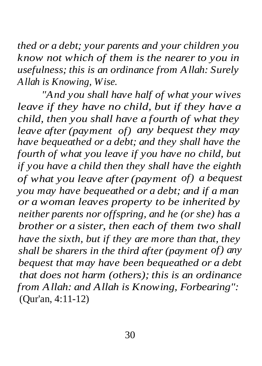*thed or a debt; your parents and your children you know not which of them is the nearer to you in usefulness; this is an ordinance from Allah: Surely Allah is Knowing, Wise.*

*"And you shall have half of what your wives leave if they have no child, but if they have a child, then you shall have a fourth of what they leave after (payment of) any bequest they may have bequeathed or a debt; and they shall have the fourth of what you leave if you have no child, but if you have a child then they shall have the eighth of what you leave after (payment of) a bequest you may have bequeathed or a debt; and if a man or a woman leaves property to be inherited by neither parents nor offspring, and he (or she) has a brother or a sister, then each of them two shall have the sixth, but if they are more than that, they shall be sharers in the third after (payment of) any bequest that may have been bequeathed or a debt that does not harm (others); this is an ordinance from Allah: and Allah is Knowing, Forbearing":* (Qur'an, 4:11-12)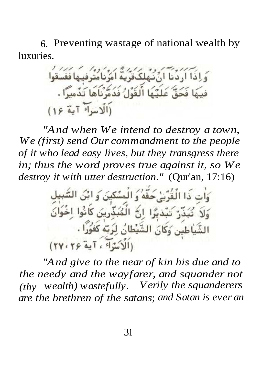6. Preventing wastage of national wealth by luxuries.

ِ وَإِذَا أَرَدُنَا أَنْ نَهْلِكَ قَرَيَةٌ أَمَرُنَا *نُذُ*وفِيهَا فَفَسَقُوا فِيهَا فَجَةٌ عَلَيْهَا الْقَوْلُ فَدُمَّرْنَاهَا تَذْمِيرًا . (الاسراء آية ١۶)

*"And when We intend to destroy a town, We (first) send Our commandment to the people of it who lead easy lives, but they transgress there in; thus the word proves true against it, so We destroy it with utter destruction."* (Qur'an, 17:16)

> ءَات ذَا الْقُرَّبْ حَقَّهُ وَ الْمِسْكِينَ وَ ابْنُ السَّبِيل وَلاَ تُبَدِّرُ تَبْدَيُّوا انَّ الْمُبَدِّرِينَ كَأَنُوا اِخُوانَ الشَّياطين وَكَانَ الشَّيْطَانُ لِرَبَّهُ كَفُوَرًا .

*"And give to the near of kin his due and to the needy and the wayfarer, and squander not (thy wealth) wastefully. Verily the squanderers are the brethren of the satans*; *and Satan is ever an*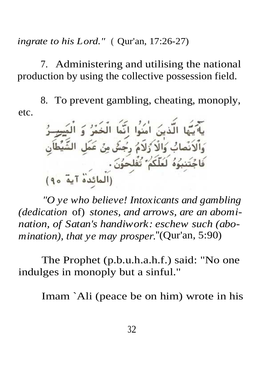*ingrate to his Lord."* ( Qur'an, 17:26-27)

7. Administering and utilising the national production by using the collective possession field.

etc. 8. To prevent gambling, cheating, monoply,

ي<sup>ح</sup>يبَّها الَّذينَ اٰمَنُوا اِنَّمَا الْخَمْرُ وَ الْمَ<del>سِرِ رُّ</del><br>وَالَانَصَابُ وَالْاَ رُلَامُ رِجَسُّ مِنْ عَمَلِ الشَّيْطَاَنِ<br>فَاجۡتَنِبُوۡهُ لَعَلَّكُمۡ ۡتُفۡلِحُوۡنَ .<br>وَالۡمَائِدَۃُ آیة ٩٥)

*"O ye who believe! Intoxicants and gambling (dedication* of) *stones, and arrows, are an abomination, of Satan's handiwork: eschew such (abomination), that ye may prosper.*"(Qur'an, 5:90)

The Prophet (p.b.u.h.a.h.f.) said: "No one indulges in monoply but a sinful."

Imam `Ali (peace be on him) wrote in his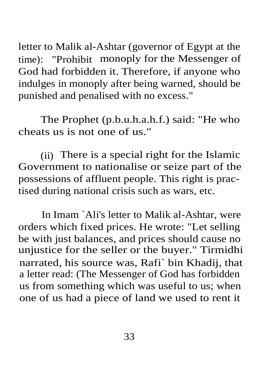letter to Malik al-Ashtar (governor of Egypt at the time): "Prohibit monoply for the Messenger of God had forbidden it. Therefore, if anyone who indulges in monoply after being warned, should be punished and penalised with no excess."

The Prophet (p.b.u.h.a.h.f.) said: "He who cheats us is not one of us."

(ii) There is a special right for the Islamic Government to nationalise or seize part of the possessions of affluent people. This right is practised during national crisis such as wars, etc.

In Imam `Ali's letter to Malik al-Ashtar, were orders which fixed prices. He wrote: "Let selling be with just balances, and prices should cause no unjustice for the seller or the buyer." Tirmidhi narrated, his source was, Rafi` bin Khadij, that a letter read: (The Messenger of God has forbidden us from something which was useful to us; when one of us had a piece of land we used to rent it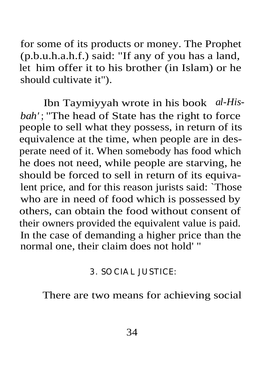for some of its products or money. The Prophet (p.b.u.h.a.h.f.) said: "If any of you has a land, let him offer it to his brother (in Islam) or he should cultivate it").

Ibn Taymiyyah wrote in his book *al-Hisbah'* ; "The head of State has the right to force people to sell what they possess, in return of its equivalence at the time, when people are in desperate need of it. When somebody has food which he does not need, while people are starving, he should be forced to sell in return of its equivalent price, and for this reason jurists said: `Those who are in need of food which is possessed by others, can obtain the food without consent of their owners provided the equivalent value is paid. In the case of demanding a higher price than the normal one, their claim does not hold' "

#### 3. SOCIAL JUSTICE:

There are two means for achieving social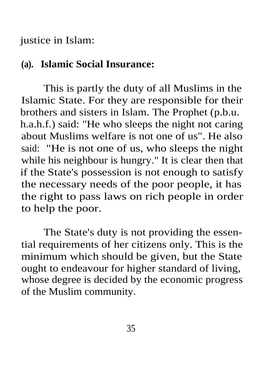justice in Islam:

#### **(a). Islamic Social Insurance:**

This is partly the duty of all Muslims in the Islamic State. For they are responsible for their brothers and sisters in Islam. The Prophet (p.b.u. h.a.h.f.) said: "He who sleeps the night not caring about Muslims welfare is not one of us". He also said: "He is not one of us, who sleeps the night while his neighbour is hungry." It is clear then that if the State's possession is not enough to satisfy the necessary needs of the poor people, it has the right to pass laws on rich people in order to help the poor.

The State's duty is not providing the essential requirements of her citizens only. This is the minimum which should be given, but the State ought to endeavour for higher standard of living, whose degree is decided by the economic progress of the Muslim community.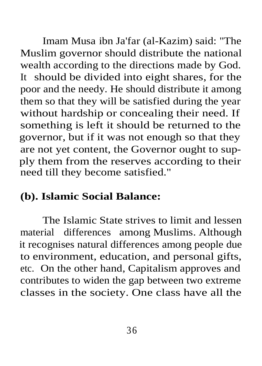Imam Musa ibn Ja'far (al-Kazim) said: "The Muslim governor should distribute the national wealth according to the directions made by God. It should be divided into eight shares, for the poor and the needy. He should distribute it among them so that they will be satisfied during the year without hardship or concealing their need. If something is left it should be returned to the governor, but if it was not enough so that they are not yet content, the Governor ought to supply them from the reserves according to their need till they become satisfied."

# **(b). Islamic Social Balance:**

The Islamic State strives to limit and lessen material differences among Muslims. Although it recognises natural differences among people due to environment, education, and personal gifts, etc. On the other hand, Capitalism approves and contributes to widen the gap between two extreme classes in the society. One class have all the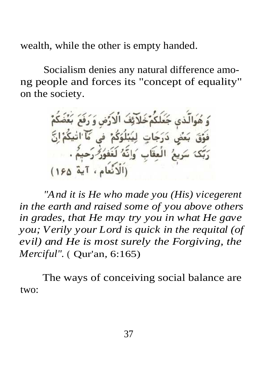wealth, while the other is empty handed.

Socialism denies any natural difference among people and forces its "concept of equality" on the society.

وَ هُوَالَّذي جَعَلَكُمْ خَلاَئِفَ الْارَّضِ وَ رَفَعَ بَعْضَكُمْ فَوَّقَ بَعَنِّي دَرَجَاتٍ لِيُبْلُوَكُمْ فِي مَا الْيَكُمْ إِنَّ ر<br>رَبِعُ الْعِقَابِ ُوَاِنَّهُ لَغَفُوُرُ رَحِيمٌ . (الانُعام، آية ١۶۵)

*"And it is He who made you (His) vicegerent in the earth and raised some of you above others in grades, that He may try you in what He gave you; Verily your Lord is quick in the requital (of evil) and He is most surely the Forgiving, the Merciful".* ( Qur'an, 6:165)

two: The ways of conceiving social balance are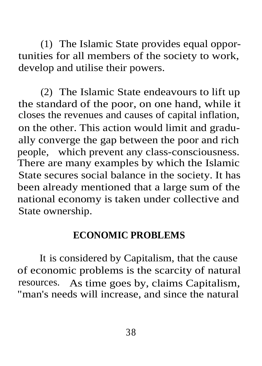(1) The Islamic State provides equal opportunities for all members of the society to work, develop and utilise their powers.

(2) The Islamic State endeavours to lift up the standard of the poor, on one hand, while it closes the revenues and causes of capital inflation, on the other. This action would limit and gradually converge the gap between the poor and rich people, which prevent any class-consciousness. There are many examples by which the Islamic State secures social balance in the society. It has been already mentioned that a large sum of the national economy is taken under collective and State ownership.

#### **ECONOMIC PROBLEMS**

It is considered by Capitalism, that the cause of economic problems is the scarcity of natural resources. As time goes by, claims Capitalism, "man's needs will increase, and since the natural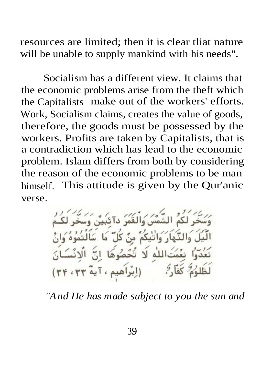resources are limited; then it is clear tliat nature will be unable to supply mankind with his needs".

Socialism has a different view. It claims that the economic problems arise from the theft which the Capitalists make out of the workers' efforts. Work, Socialism claims, creates the value of goods, therefore, the goods must be possessed by the workers. Profits are taken by Capitalists, that is a contradiction which has lead to the economic problem. Islam differs from both by considering the reason of the economic problems to be man himself. This attitude is given by the Qur'anic verse.

.<br>سَخِّرٍ لَٰكُمُ الشَّمْسُ وَالْقَمَرُ دآئَبِيَّنَ وَسَخِّرٍ الَّيْلَ وَالنَّهَارَ وَاتَّيْكُمْ مِنْ كُلِّ مَا سَأَلْتَمُوهُ وَا تَعُدّواْ نِعْمَتَاللّهِ لَا تُحْصُوهَا إِنَّ ٱلْإِنْسَانَ لَظَلَوُمَ كَفَآرٍ ? (إِبْرَاهِيمِ ، آيةٌ ٣٣ ، ٣٣)

*"And He has made subject to you the sun and*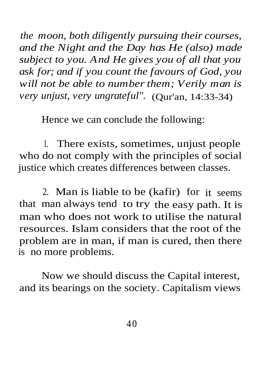*the moon, both diligently pursuing their courses, and the Night and the Day has He (also) made subject to you. And He gives you of all that you ask for; and if you count the favours of God, you will not be able to number them; Verily man is very unjust, very ungrateful".* (Qur'an, 14:33-34)

Hence we can conclude the following:

1. There exists, sometimes, unjust people who do not comply with the principles of social justice which creates differences between classes.

2. Man is liable to be (kafir) for it seems that man always tend to try the easy path. It is man who does not work to utilise the natural resources. Islam considers that the root of the problem are in man, if man is cured, then there is no more problems.

Now we should discuss the Capital interest, and its bearings on the society. Capitalism views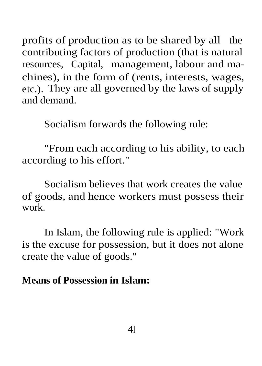profits of production as to be shared by all the contributing factors of production (that is natural resources, Capital, management, labour and machines), in the form of (rents, interests, wages, etc.). They are all governed by the laws of supply and demand.

Socialism forwards the following rule:

"From each according to his ability, to each according to his effort."

Socialism believes that work creates the value of goods, and hence workers must possess their work.

In Islam, the following rule is applied: "Work is the excuse for possession, but it does not alone create the value of goods."

#### **Means of Possession in Islam:**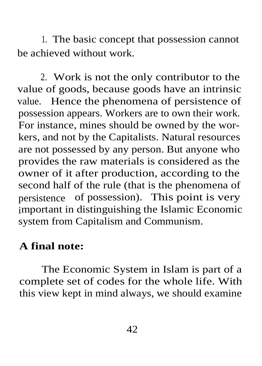1. The basic concept that possession cannot be achieved without work.

2. Work is not the only contributor to the value of goods, because goods have an intrinsic value. Hence the phenomena of persistence of possession appears. Workers are to own their work. For instance, mines should be owned by the workers, and not by the Capitalists. Natural resources are not possessed by any person. But anyone who provides the raw materials is considered as the owner of it after production, according to the second half of the rule (that is the phenomena of persistence of possession). This point is very important in distinguishing the Islamic Economic system from Capitalism and Communism.

# **A final note:**

The Economic System in Islam is part of a complete set of codes for the whole life. With this view kept in mind always, we should examine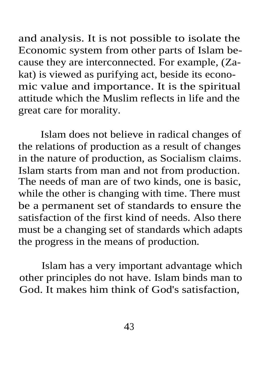and analysis. It is not possible to isolate the Economic system from other parts of Islam because they are interconnected. For example, (Zakat) is viewed as purifying act, beside its economic value and importance. It is the spiritual attitude which the Muslim reflects in life and the great care for morality.

Islam does not believe in radical changes of the relations of production as a result of changes in the nature of production, as Socialism claims. Islam starts from man and not from production. The needs of man are of two kinds, one is basic, while the other is changing with time. There must be a permanent set of standards to ensure the satisfaction of the first kind of needs. Also there must be a changing set of standards which adapts the progress in the means of production.

Islam has a very important advantage which other principles do not have. Islam binds man to God. It makes him think of God's satisfaction,